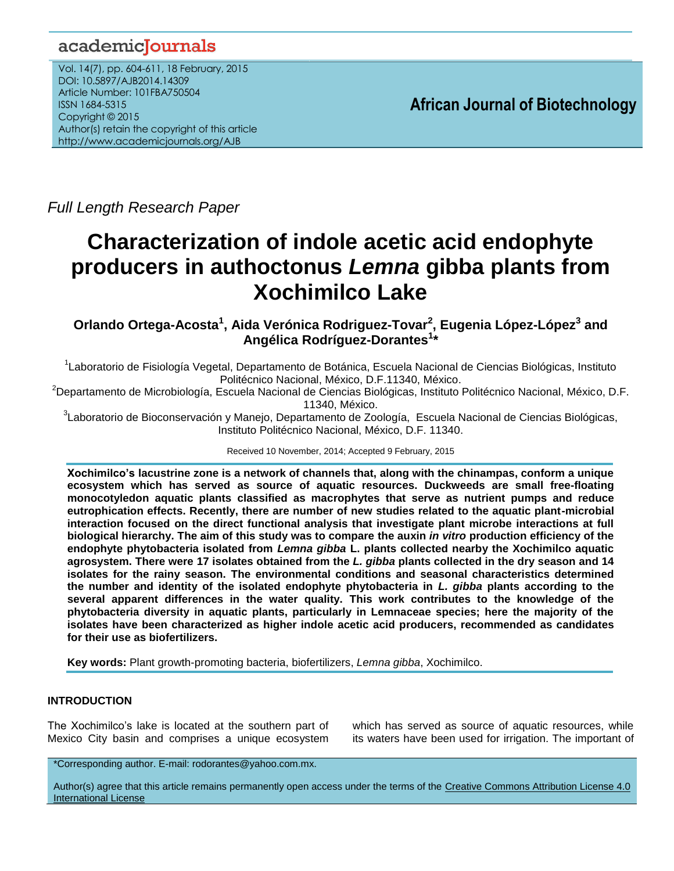# academicJournals

Vol. 14(7), pp. 604-611, 18 February, 2015 DOI: 10.5897/AJB2014.14309 Article Number: 101FBA750504 ISSN 1684-5315 Copyright © 2015 Author(s) retain the copyright of this article http://www.academicjournals.org/AJB

**African Journal of Biotechnology**

*Full Length Research Paper*

# **Characterization of indole acetic acid endophyte producers in authoctonus** *Lemna* **gibba plants from Xochimilco Lake**

**Orlando Ortega-Acosta<sup>1</sup> , Aida Verónica Rodriguez-Tovar 2 , Eugenia López-López<sup>3</sup> and Angélica Rodríguez-Dorantes<sup>1</sup> \***

<sup>1</sup>Laboratorio de Fisiología Vegetal, Departamento de Botánica, Escuela Nacional de Ciencias Biológicas, Instituto Politécnico Nacional, México, D.F.11340, México.

<sup>2</sup>Departamento de Microbiología, Escuela Nacional de Ciencias Biológicas, Instituto Politécnico Nacional, México, D.F. 11340, México.

<sup>3</sup>Laboratorio de Bioconservación y Manejo, Departamento de Zoología, Escuela Nacional de Ciencias Biológicas, Instituto Politécnico Nacional, México, D.F. 11340.

Received 10 November, 2014; Accepted 9 February, 2015

**Xochimilco's lacustrine zone is a network of channels that, along with the chinampas, conform a unique ecosystem which has served as source of aquatic resources. Duckweeds are small free-floating monocotyledon aquatic plants classified as macrophytes that serve as nutrient pumps and reduce eutrophication effects. Recently, there are number of new studies related to the aquatic plant-microbial interaction focused on the direct functional analysis that investigate plant microbe interactions at full biological hierarchy. The aim of this study was to compare the auxin** *in vitro* **production efficiency of the endophyte phytobacteria isolated from** *Lemna gibba* **L. plants collected nearby the Xochimilco aquatic agrosystem. There were 17 isolates obtained from the** *L. gibba* **plants collected in the dry season and 14 isolates for the rainy season. The environmental conditions and seasonal characteristics determined the number and identity of the isolated endophyte phytobacteria in** *L. gibba* **plants according to the several apparent differences in the water quality. This work contributes to the knowledge of the phytobacteria diversity in aquatic plants, particularly in Lemnaceae species; here the majority of the isolates have been characterized as higher indole acetic acid producers, recommended as candidates for their use as biofertilizers.**

**Key words:** Plant growth-promoting bacteria, biofertilizers, *Lemna gibba*, Xochimilco.

# **INTRODUCTION**

The Xochimilco's lake is located at the southern part of Mexico City basin and comprises a unique ecosystem

which has served as source of aquatic resources, while its waters have been used for irrigation. The important of

\*Corresponding author. E-mail: rodorantes@yahoo.com.mx.

Author(s) agree that this article remains permanently open access under the terms of the Creative Commons Attribution License 4.0 [International License](http://creativecommons.org/licenses/by/4.0/deed.en_US)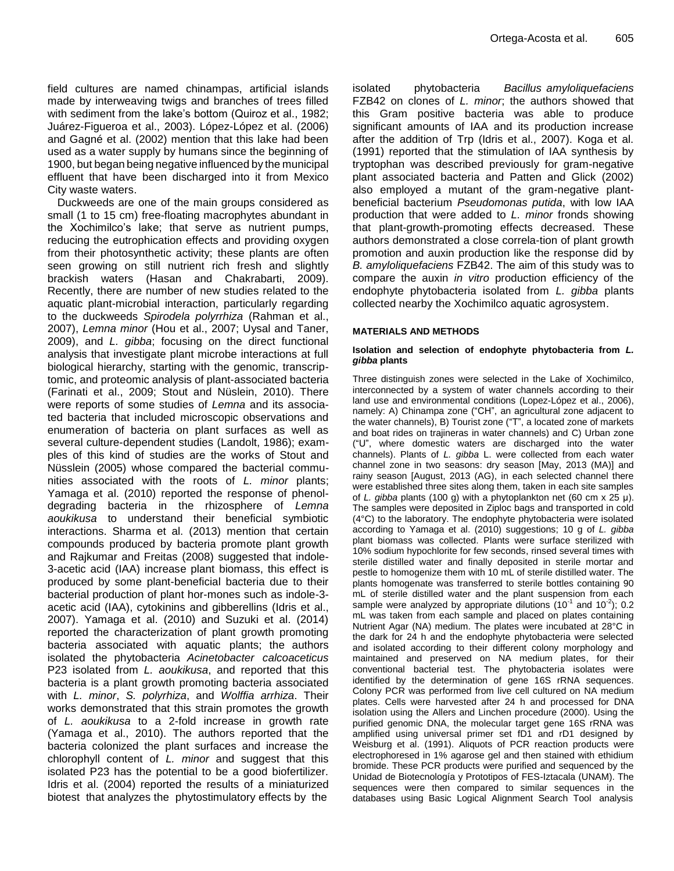field cultures are named chinampas, artificial islands made by interweaving twigs and branches of trees filled with sediment from the lake's bottom (Quiroz et al., 1982; Juárez-Figueroa et al., 2003). López-López et al. (2006) and Gagné et al. (2002) mention that this lake had been used as a water supply by humans since the beginning of 1900, but began being negative influenced by the municipal effluent that have been discharged into it from Mexico City waste waters.

Duckweeds are one of the main groups considered as small (1 to 15 cm) free-floating macrophytes abundant in the Xochimilco's lake; that serve as nutrient pumps, reducing the eutrophication effects and providing oxygen from their photosynthetic activity; these plants are often seen growing on still nutrient rich fresh and slightly brackish waters (Hasan and Chakrabarti, 2009). Recently, there are number of new studies related to the aquatic plant-microbial interaction, particularly regarding to the duckweeds *Spirodela polyrrhiza* (Rahman et al., 2007), *Lemna minor* (Hou et al., 2007; Uysal and Taner, 2009), and *L. gibba*; focusing on the direct functional analysis that investigate plant microbe interactions at full biological hierarchy, starting with the genomic, transcriptomic, and proteomic analysis of plant-associated bacteria (Farinati et al., 2009; Stout and Nüslein, 2010). There were reports of some studies of *Lemna* and its associated bacteria that included microscopic observations and enumeration of bacteria on plant surfaces as well as several culture-dependent studies (Landolt, 1986); examples of this kind of studies are the works of Stout and Nüsslein (2005) whose compared the bacterial communities associated with the roots of *L. minor* plants; Yamaga et al. (2010) reported the response of phenoldegrading bacteria in the rhizosphere of *Lemna aoukikusa* to understand their beneficial symbiotic interactions. Sharma et al. (2013) mention that certain compounds produced by bacteria promote plant growth and Rajkumar and Freitas (2008) suggested that indole-3-acetic acid (IAA) increase plant biomass, this effect is produced by some plant-beneficial bacteria due to their bacterial production of plant hor-mones such as indole-3 acetic acid (IAA), cytokinins and gibberellins (Idris et al., 2007). Yamaga et al. (2010) and Suzuki et al. (2014) reported the characterization of plant growth promoting bacteria associated with aquatic plants; the authors isolated the phytobacteria *Acinetobacter calcoaceticus* P23 isolated from *L. aoukikusa*, and reported that this bacteria is a plant growth promoting bacteria associated with *L. minor*, *S. polyrhiza*, and *Wolffia arrhiza*. Their works demonstrated that this strain promotes the growth of *L. aoukikusa* to a 2-fold increase in growth rate (Yamaga et al., 2010). The authors reported that the bacteria colonized the plant surfaces and increase the chlorophyll content of *L. minor* and suggest that this isolated P23 has the potential to be a good biofertilizer. Idris et al. (2004) reported the results of a miniaturized biotest that analyzes the phytostimulatory effects by the

isolated phytobacteria *Bacillus amyloliquefaciens*  FZB42 on clones of *L. minor*; the authors showed that this Gram positive bacteria was able to produce significant amounts of IAA and its production increase after the addition of Trp (Idris et al., 2007). Koga et al. (1991) reported that the stimulation of IAA synthesis by tryptophan was described previously for gram-negative plant associated bacteria and Patten and Glick (2002) also employed a mutant of the gram-negative plantbeneficial bacterium *Pseudomonas putida*, with low IAA production that were added to *L. minor* fronds showing that plant-growth-promoting effects decreased. These authors demonstrated a close correla-tion of plant growth promotion and auxin production like the response did by *B. amyloliquefaciens* FZB42. The aim of this study was to compare the auxin *in vitro* production efficiency of the endophyte phytobacteria isolated from *L. gibba* plants collected nearby the Xochimilco aquatic agrosystem.

#### **MATERIALS AND METHODS**

#### **Isolation and selection of endophyte phytobacteria from** *L. gibba* **plants**

Three distinguish zones were selected in the Lake of Xochimilco, interconnected by a system of water channels according to their land use and environmental conditions (Lopez-López et al., 2006), namely: A) Chinampa zone ("CH", an agricultural zone adjacent to the water channels), B) Tourist zone ("T", a located zone of markets and boat rides on trajineras in water channels) and C) Urban zone ("U", where domestic waters are discharged into the water channels). Plants of *L. gibba* L. were collected from each water channel zone in two seasons: dry season [May, 2013 (MA)] and rainy season [August, 2013 (AG), in each selected channel there were established three sites along them, taken in each site samples of *L. gibba* plants (100 g) with a phytoplankton net (60 cm x 25 μ). The samples were deposited in Ziploc bags and transported in cold (4°C) to the laboratory. The endophyte phytobacteria were isolated according to Yamaga et al. (2010) suggestions; 10 g of *L. gibba* plant biomass was collected. Plants were surface sterilized with 10% sodium hypochlorite for few seconds, rinsed several times with sterile distilled water and finally deposited in sterile mortar and pestle to homogenize them with 10 mL of sterile distilled water. The plants homogenate was transferred to sterile bottles containing 90 mL of sterile distilled water and the plant suspension from each sample were analyzed by appropriate dilutions (10<sup>-1</sup> and 10<sup>-2</sup>); 0.2 mL was taken from each sample and placed on plates containing Nutrient Agar (NA) medium. The plates were incubated at 28°C in the dark for 24 h and the endophyte phytobacteria were selected and isolated according to their different colony morphology and maintained and preserved on NA medium plates, for their conventional bacterial test. The phytobacteria isolates were identified by the determination of gene 16S rRNA sequences. Colony PCR was performed from live cell cultured on NA medium plates. Cells were harvested after 24 h and processed for DNA isolation using the Allers and Linchen procedure (2000). Using the purified genomic DNA, the molecular target gene 16S rRNA was amplified using universal primer set fD1 and rD1 designed by Weisburg et al. (1991). Aliquots of PCR reaction products were electrophoresed in 1% agarose gel and then stained with ethidium bromide. These PCR products were purified and sequenced by the Unidad de Biotecnología y Prototipos of FES-Iztacala (UNAM). The sequences were then compared to similar sequences in the databases using Basic Logical Alignment Search Tool analysis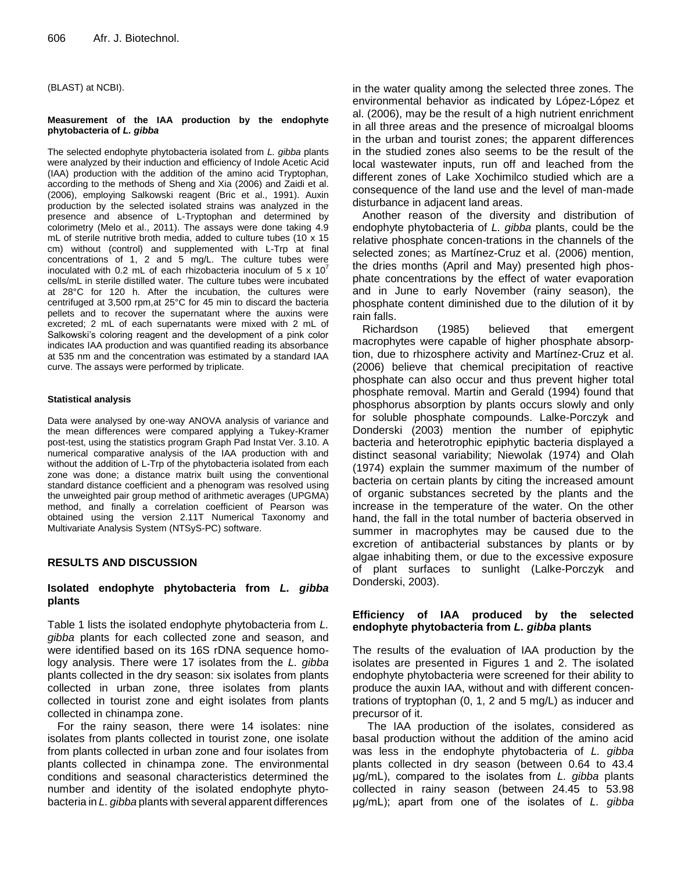(BLAST) at NCBI).

#### **Measurement of the IAA production by the endophyte phytobacteria of** *L. gibba*

The selected endophyte phytobacteria isolated from *L. gibba* plants were analyzed by their induction and efficiency of Indole Acetic Acid (IAA) production with the addition of the amino acid Tryptophan, according to the methods of Sheng and Xia (2006) and Zaidi et al. (2006), employing Salkowski reagent (Bric et al., 1991). Auxin production by the selected isolated strains was analyzed in the presence and absence of L-Tryptophan and determined by colorimetry (Melo et al., 2011). The assays were done taking 4.9 mL of sterile nutritive broth media, added to culture tubes (10 x 15 cm) without (control) and supplemented with L-Trp at final concentrations of 1, 2 and 5 mg/L. The culture tubes were inoculated with 0.2 mL of each rhizobacteria inoculum of 5  $\times$  10<sup>7</sup> cells/mL in sterile distilled water. The culture tubes were incubated at 28°C for 120 h. After the incubation, the cultures were centrifuged at 3,500 rpm,at 25°C for 45 min to discard the bacteria pellets and to recover the supernatant where the auxins were excreted; 2 mL of each supernatants were mixed with 2 mL of Salkowski's coloring reagent and the development of a pink color indicates IAA production and was quantified reading its absorbance at 535 nm and the concentration was estimated by a standard IAA curve. The assays were performed by triplicate.

#### **Statistical analysis**

Data were analysed by one-way ANOVA analysis of variance and the mean differences were compared applying a Tukey-Kramer post-test, using the statistics program Graph Pad Instat Ver. 3.10. A numerical comparative analysis of the IAA production with and without the addition of L-Trp of the phytobacteria isolated from each zone was done; a distance matrix built using the conventional standard distance coefficient and a phenogram was resolved using the unweighted pair group method of arithmetic averages (UPGMA) method, and finally a correlation coefficient of Pearson was obtained using the version 2.11T Numerical Taxonomy and Multivariate Analysis System (NTSyS-PC) software.

## **RESULTS AND DISCUSSION**

#### **Isolated endophyte phytobacteria from** *L. gibba* **plants**

Table 1 lists the isolated endophyte phytobacteria from *L. gibba* plants for each collected zone and season, and were identified based on its 16S rDNA sequence homology analysis. There were 17 isolates from the *L. gibba* plants collected in the dry season: six isolates from plants collected in urban zone, three isolates from plants collected in tourist zone and eight isolates from plants collected in chinampa zone.

For the rainy season, there were 14 isolates: nine isolates from plants collected in tourist zone, one isolate from plants collected in urban zone and four isolates from plants collected in chinampa zone. The environmental conditions and seasonal characteristics determined the number and identity of the isolated endophyte phytobacteria in *L. gibba* plants with several apparent differences in the water quality among the selected three zones. The environmental behavior as indicated by López-López et al. (2006), may be the result of a high nutrient enrichment in all three areas and the presence of microalgal blooms in the urban and tourist zones; the apparent differences in the studied zones also seems to be the result of the local wastewater inputs, run off and leached from the different zones of Lake Xochimilco studied which are a consequence of the land use and the level of man-made disturbance in adjacent land areas.

Another reason of the diversity and distribution of endophyte phytobacteria of *L. gibba* plants, could be the relative phosphate concen-trations in the channels of the selected zones; as Martínez-Cruz et al. (2006) mention, the dries months (April and May) presented high phosphate concentrations by the effect of water evaporation and in June to early November (rainy season), the phosphate content diminished due to the dilution of it by rain falls.

Richardson (1985) believed that emergent macrophytes were capable of higher phosphate absorption, due to rhizosphere activity and Martínez-Cruz et al. (2006) believe that chemical precipitation of reactive phosphate can also occur and thus prevent higher total phosphate removal. Martin and Gerald (1994) found that phosphorus absorption by plants occurs slowly and only for soluble phosphate compounds. Lalke-Porczyk and Donderski (2003) mention the number of epiphytic bacteria and heterotrophic epiphytic bacteria displayed a distinct seasonal variability; Niewolak (1974) and Olah (1974) explain the summer maximum of the number of bacteria on certain plants by citing the increased amount of organic substances secreted by the plants and the increase in the temperature of the water. On the other hand, the fall in the total number of bacteria observed in summer in macrophytes may be caused due to the excretion of antibacterial substances by plants or by algae inhabiting them, or due to the excessive exposure of plant surfaces to sunlight (Lalke-Porczyk and Donderski, 2003).

#### **Efficiency of IAA produced by the selected endophyte phytobacteria from** *L. gibba* **plants**

The results of the evaluation of IAA production by the isolates are presented in Figures 1 and 2. The isolated endophyte phytobacteria were screened for their ability to produce the auxin IAA, without and with different concentrations of tryptophan (0, 1, 2 and 5 mg/L) as inducer and precursor of it.

The IAA production of the isolates, considered as basal production without the addition of the amino acid was less in the endophyte phytobacteria of *L. gibba* plants collected in dry season (between 0.64 to 43.4 μg/mL), compared to the isolates from *L. gibba* plants collected in rainy season (between 24.45 to 53.98 μg/mL); apart from one of the isolates of *L. gibba*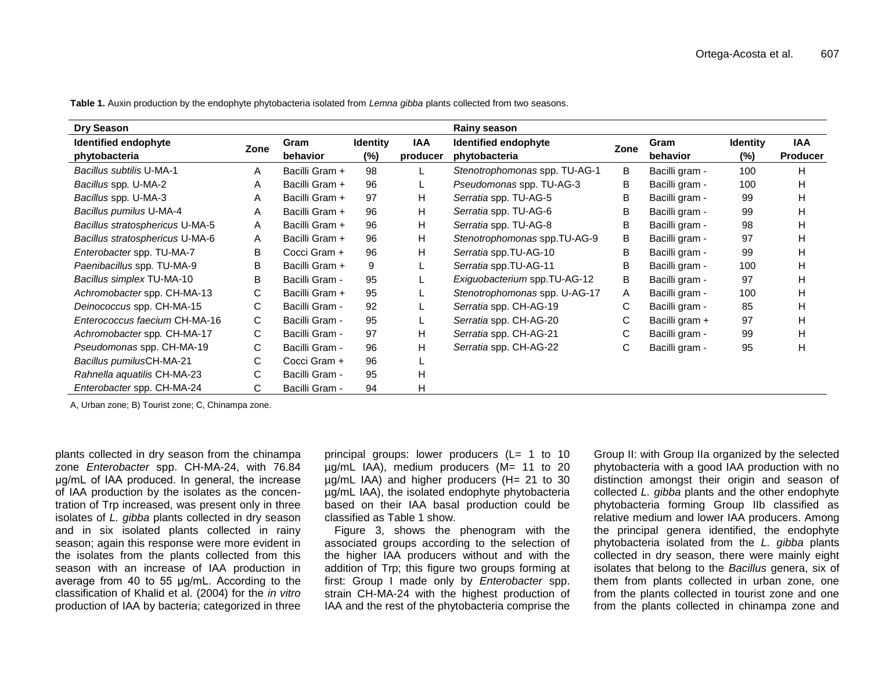| Dry Season                      |      |                |                 |            | <b>Rainy season</b>           |      |                |                 |                 |
|---------------------------------|------|----------------|-----------------|------------|-------------------------------|------|----------------|-----------------|-----------------|
| Identified endophyte            | Zone | Gram           | <b>Identity</b> | <b>IAA</b> | Identified endophyte          | Zone | Gram           | <b>Identity</b> | IAA             |
| phytobacteria                   |      | behavior       | $(\%)$          | producer   | phytobacteria                 |      | behavior       | (%)             | <b>Producer</b> |
| <b>Bacillus subtilis U-MA-1</b> | A    | Bacilli Gram + | 98              |            | Stenotrophomonas spp. TU-AG-1 | B    | Bacilli gram - | 100             | н               |
| Bacillus spp. U-MA-2            | Α    | Bacilli Gram + | 96              |            | Pseudomonas spp. TU-AG-3      | В    | Bacilli gram - | 100             | Н               |
| Bacillus spp. U-MA-3            | Α    | Bacilli Gram + | 97              | H          | Serratia spp. TU-AG-5         | B    | Bacilli gram - | 99              | н               |
| Bacillus pumilus U-MA-4         | A    | Bacilli Gram + | 96              | H          | Serratia spp. TU-AG-6         | в    | Bacilli gram - | 99              | н               |
| Bacillus stratosphericus U-MA-5 | A    | Bacilli Gram + | 96              | H          | Serratia spp. TU-AG-8         | B    | Bacilli gram - | 98              | н               |
| Bacillus stratosphericus U-MA-6 | A    | Bacilli Gram + | 96              | H          | Stenotrophomonas spp.TU-AG-9  | В    | Bacilli gram - | 97              | н               |
| Enterobacter spp. TU-MA-7       | B    | Cocci Gram +   | 96              | н          | Serratia spp.TU-AG-10         | в    | Bacilli gram - | 99              | н               |
| Paenibacillus spp. TU-MA-9      | в    | Bacilli Gram + | 9               |            | Serratia spp.TU-AG-11         | B    | Bacilli gram - | 100             | н               |
| Bacillus simplex TU-MA-10       | В    | Bacilli Gram - | 95              |            | Exiguobacterium spp.TU-AG-12  | В    | Bacilli gram - | 97              | Н               |
| Achromobacter spp. CH-MA-13     | С    | Bacilli Gram + | 95              |            | Stenotrophomonas spp. U-AG-17 | A    | Bacilli gram - | 100             | н               |
| Deinococcus spp. CH-MA-15       | C    | Bacilli Gram - | 92              |            | Serratia spp. CH-AG-19        | C    | Bacilli gram - | 85              | н               |
| Enterococcus faecium CH-MA-16   | C    | Bacilli Gram - | 95              |            | Serratia spp. CH-AG-20        | C    | Bacilli gram + | 97              | н               |
| Achromobacter spp. CH-MA-17     | С    | Bacilli Gram - | 97              | н          | Serratia spp. CH-AG-21        | C    | Bacilli gram - | 99              | Н               |
| Pseudomonas spp. CH-MA-19       | С    | Bacilli Gram - | 96              | H          | Serratia spp. CH-AG-22        | C    | Bacilli gram - | 95              | Η               |
| Bacillus pumilusCH-MA-21        | С    | Cocci Gram +   | 96              |            |                               |      |                |                 |                 |
| Rahnella aquatilis CH-MA-23     | C    | Bacilli Gram - | 95              | н          |                               |      |                |                 |                 |
| Enterobacter spp. CH-MA-24      | C    | Bacilli Gram - | 94              | н          |                               |      |                |                 |                 |

**Table 1.** Auxin production by the endophyte phytobacteria isolated from *Lemna gibba* plants collected from two seasons.

A, Urban zone; B) Tourist zone; C, Chinampa zone.

plants collected in dry season from the chinampa zone *Enterobacter* spp. CH-MA-24, with 76.84 μg/mL of IAA produced. In general, the increase of IAA production by the isolates as the concentration of Trp increased, was present only in three isolates of *L. gibba* plants collected in dry season and in six isolated plants collected in rainy season; again this response were more evident in the isolates from the plants collected from this season with an increase of IAA production in average from 40 to 55 μg/mL. According to the classification of Khalid et al. (2004) for the *in vitro* production of IAA by bacteria; categorized in three

principal groups: lower producers (L= 1 to 10 µg/mL IAA), medium producers (M= 11 to 20 µg/mL IAA) and higher producers (H= 21 to 30 µg/mL IAA), the isolated endophyte phytobacteria based on their IAA basal production could be classified as Table 1 show.

Figure 3, shows the phenogram with the associated groups according to the selection of the higher IAA producers without and with the addition of Trp; this figure two groups forming at first: Group I made only by *Enterobacter* spp. strain CH-MA-24 with the highest production of IAA and the rest of the phytobacteria comprise the

Group II: with Group IIa organized by the selected phytobacteria with a good IAA production with no distinction amongst their origin and season of collected *L. gibba* plants and the other endophyte phytobacteria forming Group IIb classified as relative medium and lower IAA producers. Among the principal genera identified, the endophyte phytobacteria isolated from the *L. gibba* plants collected in dry season, there were mainly eight isolates that belong to the *Bacillus* genera, six of them from plants collected in urban zone, one from the plants collected in tourist zone and one from the plants collected in chinampa zone and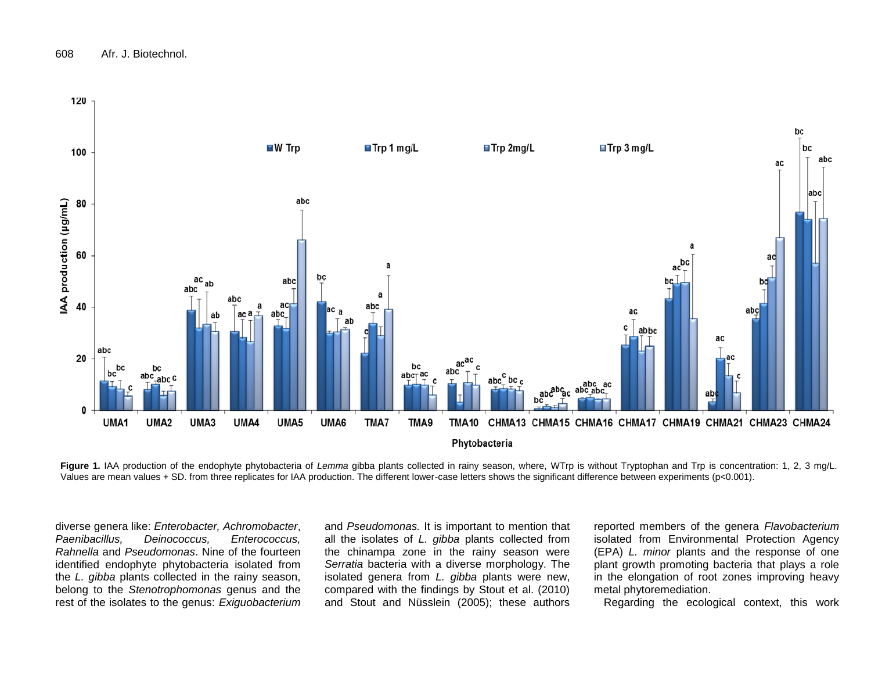

Figure 1. IAA production of the endophyte phytobacteria of *Lemma* gibba plants collected in rainy season, where, WTrp is without Tryptophan and Trp is concentration: 1, 2, 3 mg/L. Values are mean values + SD. from three replicates for IAA production. The different lower-case letters shows the significant difference between experiments (p<0.001).

diverse genera like: *Enterobacter, Achromobacter*, *Paenibacillus, Deinococcus, Enterococcus, Rahnella* and *Pseudomonas*. Nine of the fourteen identified endophyte phytobacteria isolated from the *L. gibba* plants collected in the rainy season, belong to the *Stenotrophomonas* genus and the rest of the isolates to the genus: *Exiguobacterium* 

and *Pseudomonas.* It is important to mention that all the isolates of *L. gibba* plants collected from the chinampa zone in the rainy season were *Serratia* bacteria with a diverse morphology. The isolated genera from *L. gibba* plants were new, compared with the findings by Stout et al. (2010) and Stout and Nüsslein (2005); these authors

reported members of the genera *Flavobacterium* isolated from Environmental Protection Agency (EPA) *L. minor* plants and the response of one plant growth promoting bacteria that plays a role in the elongation of root zones improving heavy metal phytoremediation.

Regarding the ecological context, this work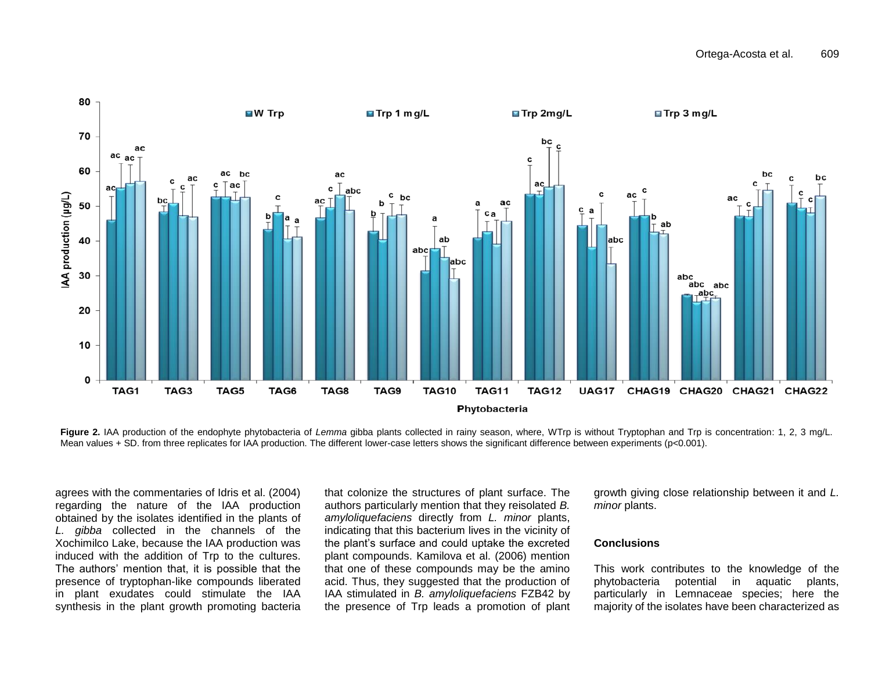

Figure 2. IAA production of the endophyte phytobacteria of *Lemma* gibba plants collected in rainy season, where, WTrp is without Tryptophan and Trp is concentration: 1, 2, 3 mg/L. Mean values + SD. from three replicates for IAA production. The different lower-case letters shows the significant difference between experiments (p<0.001).

agrees with the commentaries of Idris et al. (2004) regarding the nature of the IAA production obtained by the isolates identified in the plants of *L. gibba* collected in the channels of the Xochimilco Lake, because the IAA production was induced with the addition of Trp to the cultures. The authors' mention that, it is possible that the presence of tryptophan-like compounds liberated in plant exudates could stimulate the IAA synthesis in the plant growth promoting bacteria

that colonize the structures of plant surface. The authors particularly mention that they reisolated *B. amyloliquefaciens* directly from *L. minor* plants, indicating that this bacterium lives in the vicinity of the plant's surface and could uptake the excreted plant compounds. Kamilova et al. (2006) mention that one of these compounds may be the amino acid. Thus, they suggested that the production of IAA stimulated in *B. amyloliquefaciens* FZB42 by the presence of Trp leads a promotion of plant growth giving close relationship between it and *L. minor* plants.

#### **Conclusions**

This work contributes to the knowledge of the phytobacteria potential in aquatic plants, particularly in Lemnaceae species; here the majority of the isolates have been characterized as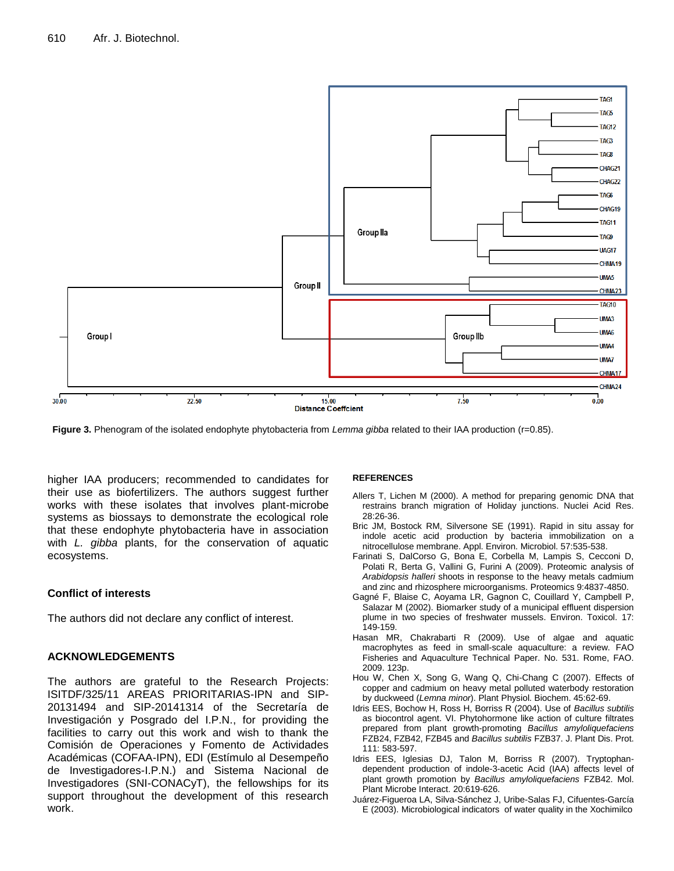

**Figure 3.** Phenogram of the isolated endophyte phytobacteria from *Lemma gibba* related to their IAA production (r=0.85).

higher IAA producers; recommended to candidates for their use as biofertilizers. The authors suggest further works with these isolates that involves plant-microbe systems as biossays to demonstrate the ecological role that these endophyte phytobacteria have in association with *L. gibba* plants, for the conservation of aquatic ecosystems.

## **Conflict of interests**

The authors did not declare any conflict of interest.

## **ACKNOWLEDGEMENTS**

The authors are grateful to the Research Projects: ISITDF/325/11 AREAS PRIORITARIAS-IPN and SIP-20131494 and SIP-20141314 of the Secretaría de Investigación y Posgrado del I.P.N., for providing the facilities to carry out this work and wish to thank the Comisión de Operaciones y Fomento de Actividades Académicas (COFAA-IPN), EDI (Estímulo al Desempeño de Investigadores-I.P.N.) and Sistema Nacional de Investigadores (SNI-CONACyT), the fellowships for its support throughout the development of this research work.

#### **REFERENCES**

- Allers T, Lichen M (2000). A method for preparing genomic DNA that restrains branch migration of Holiday junctions. Nuclei Acid Res. 28:26-36.
- Bric JM, Bostock RM, Silversone SE (1991). Rapid in situ assay for indole acetic acid production by bacteria immobilization on a nitrocellulose membrane. Appl. Environ. Microbiol. 57:535-538.
- Farinati S, DalCorso G, Bona E, Corbella M, Lampis S, Cecconi D, Polati R, Berta G, Vallini G, Furini A (2009). Proteomic analysis of *Arabidopsis halleri* shoots in response to the heavy metals cadmium and zinc and rhizosphere microorganisms. Proteomics 9:4837-4850.
- Gagné F, Blaise C, Aoyama LR, Gagnon C, Couillard Y, Campbell P, Salazar M (2002). Biomarker study of a municipal effluent dispersion plume in two species of freshwater mussels. Environ. Toxicol. 17: 149-159.
- Hasan MR, Chakrabarti R (2009). Use of algae and aquatic macrophytes as feed in small-scale aquaculture: a review. FAO Fisheries and Aquaculture Technical Paper. No. 531. Rome, FAO. 2009. 123p.
- Hou W, Chen X, Song G, Wang Q, Chi-Chang C (2007). Effects of copper and cadmium on heavy metal polluted waterbody restoration by duckweed (*Lemna minor*). Plant Physiol. Biochem. 45:62-69.
- Idris EES, Bochow H, Ross H, Borriss R (2004). Use of *Bacillus subtilis* as biocontrol agent. VI. Phytohormone like action of culture filtrates prepared from plant growth-promoting *Bacillus amyloliquefaciens* FZB24, FZB42, FZB45 and *Bacillus subtilis* FZB37. J. Plant Dis. Prot. 111: 583-597.
- Idris EES, Iglesias DJ, Talon M, Borriss R (2007). Tryptophandependent production of indole-3-acetic Acid (IAA) affects level of plant growth promotion by *Bacillus amyloliquefaciens* FZB42. Mol. Plant Microbe Interact. 20:619-626.
- Juárez-Figueroa LA, Silva-Sánchez J, Uribe-Salas FJ, Cifuentes-García E (2003). Microbiological indicators of water quality in the Xochimilco